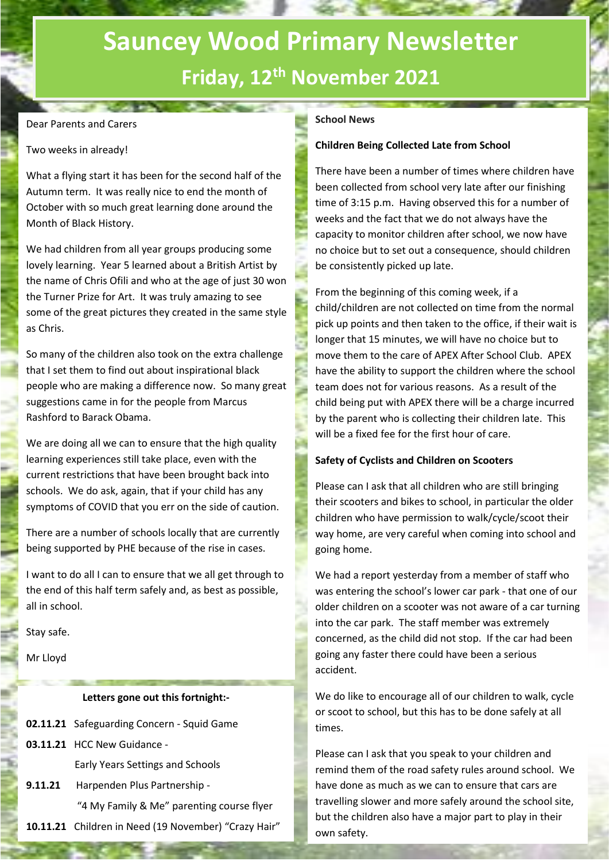## **Sauncey Wood Primary Newsletter Friday, 12th November 2021**

#### Dear Parents and Carers

#### Two weeks in already!

What a flying start it has been for the second half of the Autumn term. It was really nice to end the month of October with so much great learning done around the Month of Black History.

We had children from all year groups producing some lovely learning. Year 5 learned about a British Artist by the name of Chris Ofili and who at the age of just 30 won the Turner Prize for Art. It was truly amazing to see some of the great pictures they created in the same style as Chris.

So many of the children also took on the extra challenge that I set them to find out about inspirational black people who are making a difference now. So many great suggestions came in for the people from Marcus Rashford to Barack Obama.

We are doing all we can to ensure that the high quality learning experiences still take place, even with the current restrictions that have been brought back into schools. We do ask, again, that if your child has any symptoms of COVID that you err on the side of caution.

There are a number of schools locally that are currently being supported by PHE because of the rise in cases.

I want to do all I can to ensure that we all get through to the end of this half term safely and, as best as possible, all in school.

Stay safe.

Mr Lloyd

Day

#### **Letters gone out this fortnight:-**

- **02.11.21** Safeguarding Concern Squid Game
- **03.11.21** HCC New Guidance -

Early Years Settings and Schools

**9.11.21** Harpenden Plus Partnership - "4 My Family & Me" parenting course flyer **10.11.21** Children in Need (19 November) "Crazy Hair"

## **F2021 School News**

#### **Children Being Collected Late from School**

There have been a number of times where children have been collected from school very late after our finishing time of 3:15 p.m. Having observed this for a number of weeks and the fact that we do not always have the capacity to monitor children after school, we now have no choice but to set out a consequence, should children be consistently picked up late.

From the beginning of this coming week, if a child/children are not collected on time from the normal pick up points and then taken to the office, if their wait is longer that 15 minutes, we will have no choice but to move them to the care of APEX After School Club. APEX have the ability to support the children where the school team does not for various reasons. As a result of the child being put with APEX there will be a charge incurred by the parent who is collecting their children late. This will be a fixed fee for the first hour of care.

#### **Safety of Cyclists and Children on Scooters**

Please can I ask that all children who are still bringing their scooters and bikes to school, in particular the older children who have permission to walk/cycle/scoot their way home, are very careful when coming into school and going home.

We had a report yesterday from a member of staff who was entering the school's lower car park - that one of our older children on a scooter was not aware of a car turning into the car park. The staff member was extremely concerned, as the child did not stop. If the car had been going any faster there could have been a serious accident.

We do like to encourage all of our children to walk, cycle or scoot to school, but this has to be done safely at all times.

Please can I ask that you speak to your children and remind them of the road safety rules around school. We have done as much as we can to ensure that cars are travelling slower and more safely around the school site, but the children also have a major part to play in their own safety.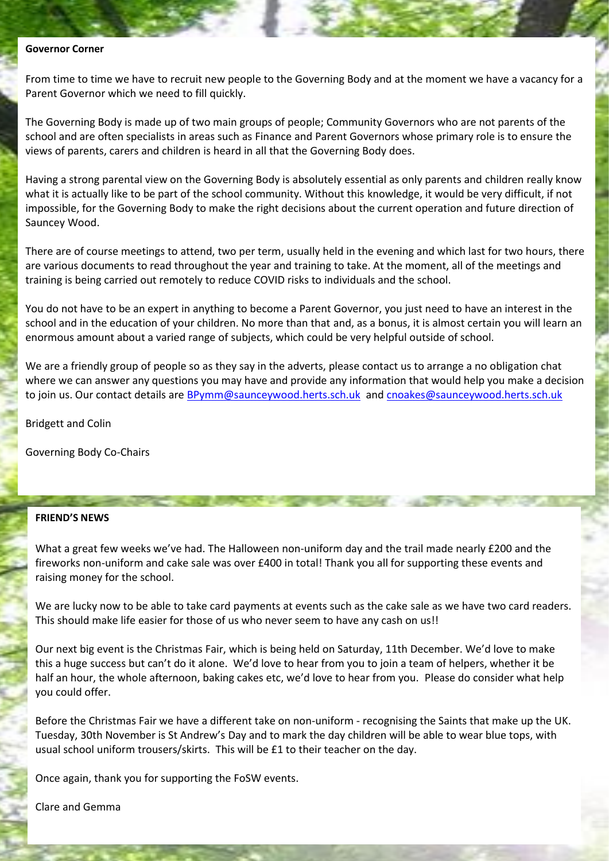#### **Governor Corner**

From time to time we have to recruit new people to the Governing Body and at the moment we have a vacancy for a Parent Governor which we need to fill quickly.

The Governing Body is made up of two main groups of people; Community Governors who are not parents of the school and are often specialists in areas such as Finance and Parent Governors whose primary role is to ensure the views of parents, carers and children is heard in all that the Governing Body does.

Having a strong parental view on the Governing Body is absolutely essential as only parents and children really know what it is actually like to be part of the school community. Without this knowledge, it would be very difficult, if not impossible, for the Governing Body to make the right decisions about the current operation and future direction of Sauncey Wood.

There are of course meetings to attend, two per term, usually held in the evening and which last for two hours, there are various documents to read throughout the year and training to take. At the moment, all of the meetings and training is being carried out remotely to reduce COVID risks to individuals and the school.

You do not have to be an expert in anything to become a Parent Governor, you just need to have an interest in the school and in the education of your children. No more than that and, as a bonus, it is almost certain you will learn an enormous amount about a varied range of subjects, which could be very helpful outside of school.

We are a friendly group of people so as they say in the adverts, please contact us to arrange a no obligation chat where we can answer any questions you may have and provide any information that would help you make a decision to join us. Our contact details are **BPymm@saunceywood.herts.sch.uk** and **cnoakes@saunceywood.herts.sch.uk** 

Bridgett and Colin

Governing Body Co-Chairs

#### **FRIEND'S NEWS**

What a great few weeks we've had. The Halloween non-uniform day and the trail made nearly £200 and the fireworks non-uniform and cake sale was over £400 in total! Thank you all for supporting these events and raising money for the school.

the country of the same of the country and the country of the country of the country of the country of the country of the country of the country of the country of the country of the country of the country of the country of

We are lucky now to be able to take card payments at events such as the cake sale as we have two card readers. This should make life easier for those of us who never seem to have any cash on us!!

Our next big event is the Christmas Fair, which is being held on Saturday, 11th December. We'd love to make this a huge success but can't do it alone. We'd love to hear from you to join a team of helpers, whether it be half an hour, the whole afternoon, baking cakes etc, we'd love to hear from you. Please do consider what help you could offer.

Before the Christmas Fair we have a different take on non-uniform - recognising the Saints that make up the UK. Tuesday, 30th November is St Andrew's Day and to mark the day children will be able to wear blue tops, with usual school uniform trousers/skirts. This will be £1 to their teacher on the day.

Once again, thank you for supporting the FoSW events.

Clare and Gemma